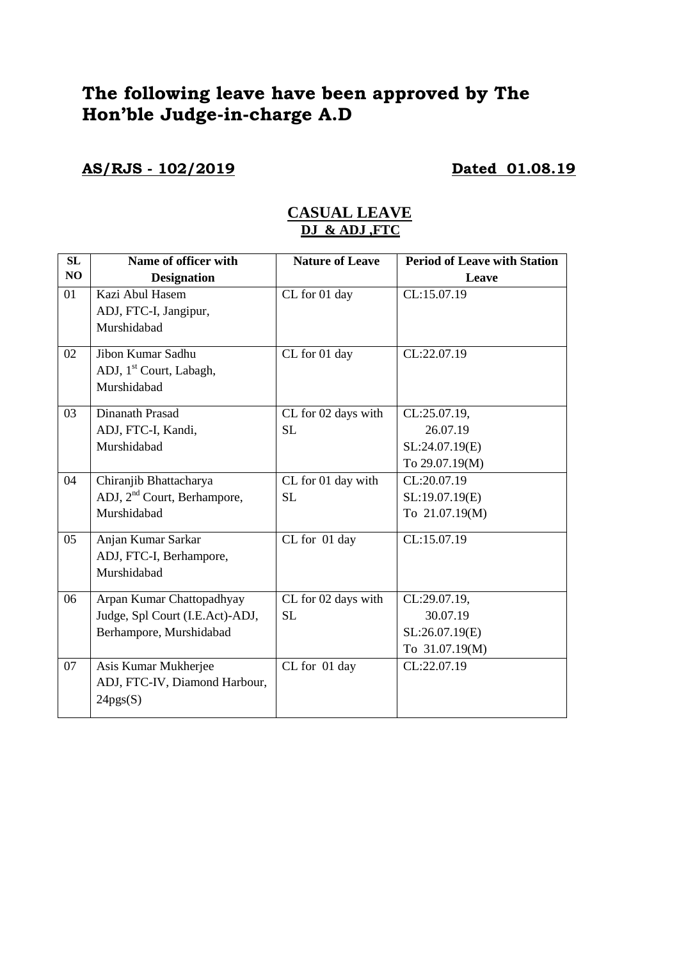# **The following leave have been approved by The Hon'ble Judge-in-charge A.D**

**AS/RJS - 102/2019 Dated 01.08.19**

|                                         |                      | <b>Period of Leave with Station</b> |
|-----------------------------------------|----------------------|-------------------------------------|
| <b>Designation</b>                      |                      | Leave                               |
| Kazi Abul Hasem                         | CL for 01 day        | CL:15.07.19                         |
| ADJ, FTC-I, Jangipur,                   |                      |                                     |
| Murshidabad                             |                      |                                     |
| Jibon Kumar Sadhu                       | CL for 01 day        | CL:22.07.19                         |
| ADJ, 1 <sup>st</sup> Court, Labagh,     |                      |                                     |
| Murshidabad                             |                      |                                     |
| Dinanath Prasad                         | CL for 02 days with  | CL:25.07.19,                        |
| ADJ, FTC-I, Kandi,                      | <b>SL</b>            | 26.07.19                            |
| Murshidabad                             |                      | SL:24.07.19(E)                      |
|                                         |                      | To 29.07.19(M)                      |
| Chiranjib Bhattacharya                  | CL for 01 day with   | CL:20.07.19                         |
| ADJ, 2 <sup>nd</sup> Court, Berhampore, | <b>SL</b>            | SL:19.07.19(E)                      |
| Murshidabad                             |                      | To 21.07.19(M)                      |
| Anjan Kumar Sarkar                      | CL for 01 day        | CL:15.07.19                         |
| ADJ, FTC-I, Berhampore,                 |                      |                                     |
| Murshidabad                             |                      |                                     |
| Arpan Kumar Chattopadhyay               | CL for 02 days with  | CL:29.07.19,                        |
| Judge, Spl Court (I.E.Act)-ADJ,         | <b>SL</b>            | 30.07.19                            |
| Berhampore, Murshidabad                 |                      | SL:26.07.19(E)                      |
|                                         |                      | To 31.07.19(M)                      |
| Asis Kumar Mukherjee                    | CL for 01 day        | CL:22.07.19                         |
| ADJ, FTC-IV, Diamond Harbour,           |                      |                                     |
| 24pgs(S)                                |                      |                                     |
|                                         | Name of officer with | <b>Nature of Leave</b>              |

## **CASUAL LEAVE DJ & ADJ ,FTC**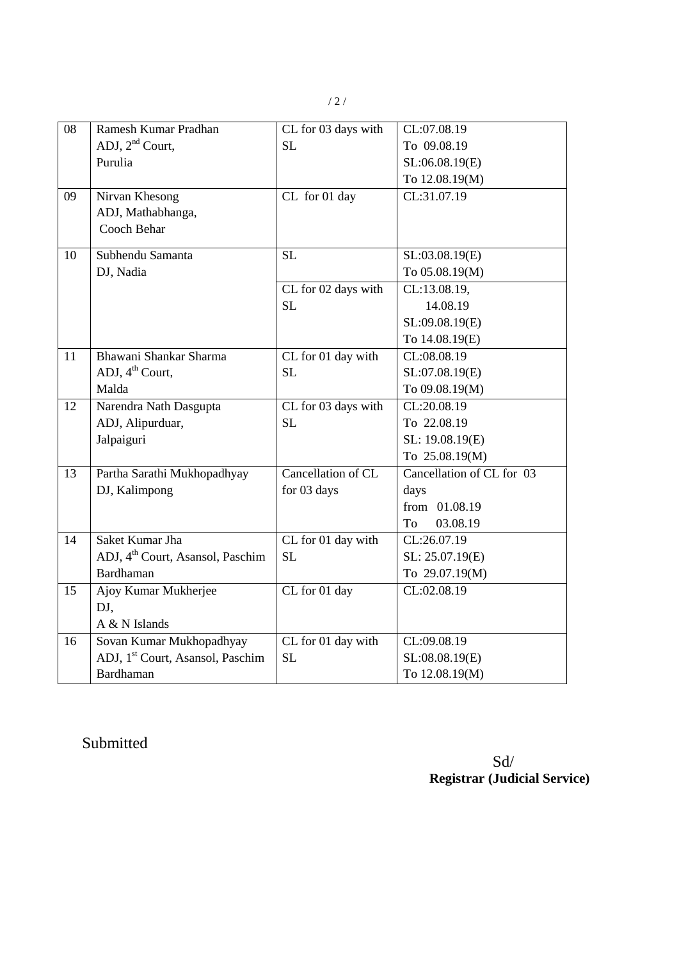| 08 | Ramesh Kumar Pradhan                         | CL for 03 days with | CL:07.08.19               |
|----|----------------------------------------------|---------------------|---------------------------|
|    | ADJ, $2nd$ Court,                            | SL                  | To 09.08.19               |
|    | Purulia                                      |                     | SL:06.08.19(E)            |
|    |                                              |                     | To 12.08.19(M)            |
| 09 | Nirvan Khesong                               | CL for 01 day       | CL:31.07.19               |
|    | ADJ, Mathabhanga,                            |                     |                           |
|    | Cooch Behar                                  |                     |                           |
| 10 | Subhendu Samanta                             | <b>SL</b>           | SL:03.08.19(E)            |
|    | DJ, Nadia                                    |                     | To 05.08.19(M)            |
|    |                                              | CL for 02 days with | CL:13.08.19,              |
|    |                                              | <b>SL</b>           | 14.08.19                  |
|    |                                              |                     | SL:09.08.19(E)            |
|    |                                              |                     | To 14.08.19(E)            |
| 11 | Bhawani Shankar Sharma                       | CL for 01 day with  | CL:08.08.19               |
|    | ADJ, $4th$ Court,                            | <b>SL</b>           | SL:07.08.19(E)            |
|    | Malda                                        |                     | To 09.08.19(M)            |
| 12 | Narendra Nath Dasgupta                       | CL for 03 days with | CL:20.08.19               |
|    | ADJ, Alipurduar,                             | SL                  | To 22.08.19               |
|    | Jalpaiguri                                   |                     | SL: 19.08.19(E)           |
|    |                                              |                     | To 25.08.19(M)            |
| 13 | Partha Sarathi Mukhopadhyay                  | Cancellation of CL  | Cancellation of CL for 03 |
|    | DJ, Kalimpong                                | for 03 days         | days                      |
|    |                                              |                     | from 01.08.19             |
|    |                                              |                     | To<br>03.08.19            |
| 14 | Saket Kumar Jha                              | CL for 01 day with  | CL:26.07.19               |
|    | ADJ, 4 <sup>th</sup> Court, Asansol, Paschim | <b>SL</b>           | SL: 25.07.19(E)           |
|    | Bardhaman                                    |                     | To 29.07.19(M)            |
| 15 | Ajoy Kumar Mukherjee                         | CL for 01 day       | CL:02.08.19               |
|    | DJ,                                          |                     |                           |
|    | A & N Islands                                |                     |                           |
| 16 | Sovan Kumar Mukhopadhyay                     | CL for 01 day with  | CL:09.08.19               |
|    | ADJ, 1 <sup>st</sup> Court, Asansol, Paschim | <b>SL</b>           | SL:08.08.19(E)            |
|    | Bardhaman                                    |                     | To 12.08.19(M)            |

Submitted

Sd/ **Registrar (Judicial Service)**